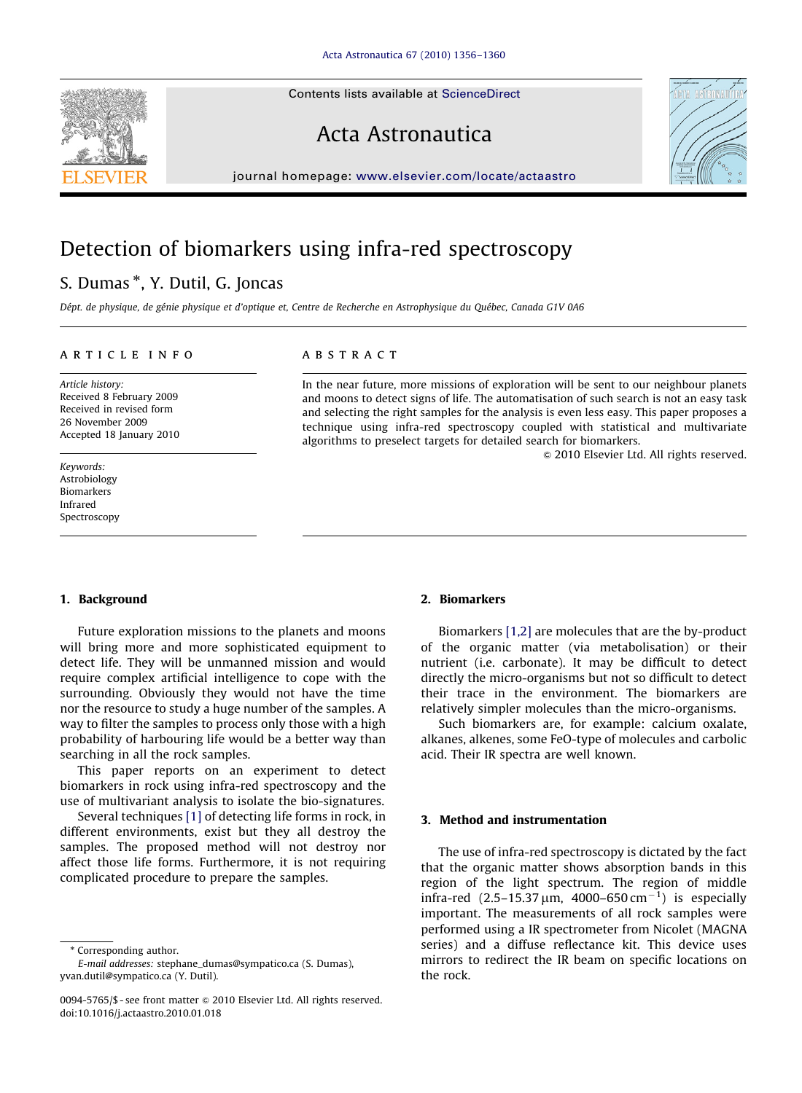Contents lists available at ScienceDirect



Acta Astronautica

journal homepage: <www.elsevier.com/locate/actaastro>

# Detection of biomarkers using infra-red spectroscopy

# S. Dumas \*, Y. Dutil, G. Joncas

Dépt. de physique, de génie physique et d'optique et, Centre de Recherche en Astrophysique du Québec, Canada G1V 0A6

### article info

Article history: Received 8 February 2009 Received in revised form 26 November 2009 Accepted 18 January 2010

Keywords: Astrobiology **Biomarkers** Infrared Spectroscopy

# **ABSTRACT**

In the near future, more missions of exploration will be sent to our neighbour planets and moons to detect signs of life. The automatisation of such search is not an easy task and selecting the right samples for the analysis is even less easy. This paper proposes a technique using infra-red spectroscopy coupled with statistical and multivariate algorithms to preselect targets for detailed search for biomarkers.

 $\odot$  2010 Elsevier Ltd. All rights reserved.

#### 1. Background

Future exploration missions to the planets and moons will bring more and more sophisticated equipment to detect life. They will be unmanned mission and would require complex artificial intelligence to cope with the surrounding. Obviously they would not have the time nor the resource to study a huge number of the samples. A way to filter the samples to process only those with a high probability of harbouring life would be a better way than searching in all the rock samples.

This paper reports on an experiment to detect biomarkers in rock using infra-red spectroscopy and the use of multivariant analysis to isolate the bio-signatures.

Several techniques [\[1\]](#page-3-0) of detecting life forms in rock, in different environments, exist but they all destroy the samples. The proposed method will not destroy nor affect those life forms. Furthermore, it is not requiring complicated procedure to prepare the samples.

# 2. Biomarkers

Biomarkers [\[1,2\]](#page-3-0) are molecules that are the by-product of the organic matter (via metabolisation) or their nutrient (i.e. carbonate). It may be difficult to detect directly the micro-organisms but not so difficult to detect their trace in the environment. The biomarkers are relatively simpler molecules than the micro-organisms.

Such biomarkers are, for example: calcium oxalate, alkanes, alkenes, some FeO-type of molecules and carbolic acid. Their IR spectra are well known.

#### 3. Method and instrumentation

The use of infra-red spectroscopy is dictated by the fact that the organic matter shows absorption bands in this region of the light spectrum. The region of middle infra-red  $(2.5-15.37 \,\mu m, 4000-650 \,\text{cm}^{-1})$  is especially important. The measurements of all rock samples were performed using a IR spectrometer from Nicolet (MAGNA series) and a diffuse reflectance kit. This device uses mirrors to redirect the IR beam on specific locations on the rock.

<sup>\*</sup> Corresponding author.

E-mail addresses: [stephane\\_dumas@sympatico.ca \(S. Dumas\),](mailto:stephane_dumas@sympatico.ca) [yvan.dutil@sympatico.ca \(Y. Dutil\).](mailto:yvan.dutil@sympatico.ca)

<sup>0094-5765/\$ -</sup> see front matter  $\odot$  2010 Elsevier Ltd. All rights reserved. doi:[10.1016/j.actaastro.2010.01.018](dx.doi.org/10.1016/j.actaastro.2010.01.018)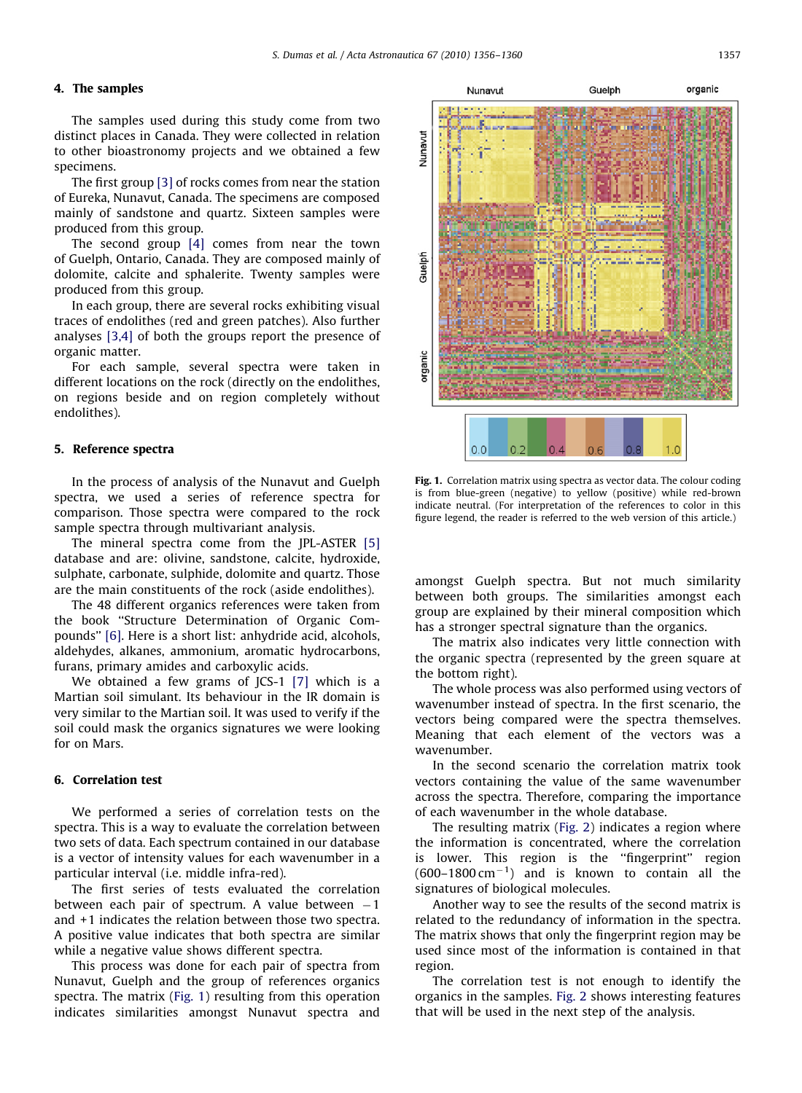#### 4. The samples

The samples used during this study come from two distinct places in Canada. They were collected in relation to other bioastronomy projects and we obtained a few specimens.

The first group [\[3\]](#page-4-0) of rocks comes from near the station of Eureka, Nunavut, Canada. The specimens are composed mainly of sandstone and quartz. Sixteen samples were produced from this group.

The second group [\[4\]](#page-4-0) comes from near the town of Guelph, Ontario, Canada. They are composed mainly of dolomite, calcite and sphalerite. Twenty samples were produced from this group.

In each group, there are several rocks exhibiting visual traces of endolithes (red and green patches). Also further analyses [\[3,4\]](#page-4-0) of both the groups report the presence of organic matter.

For each sample, several spectra were taken in different locations on the rock (directly on the endolithes, on regions beside and on region completely without endolithes).

#### 5. Reference spectra

In the process of analysis of the Nunavut and Guelph spectra, we used a series of reference spectra for comparison. Those spectra were compared to the rock sample spectra through multivariant analysis.

The mineral spectra come from the JPL-ASTER [\[5\]](#page-4-0) database and are: olivine, sandstone, calcite, hydroxide, sulphate, carbonate, sulphide, dolomite and quartz. Those are the main constituents of the rock (aside endolithes).

The 48 different organics references were taken from the book ''Structure Determination of Organic Compounds'' [\[6\]](#page-4-0). Here is a short list: anhydride acid, alcohols, aldehydes, alkanes, ammonium, aromatic hydrocarbons, furans, primary amides and carboxylic acids.

We obtained a few grams of JCS-1 [\[7\]](#page-4-0) which is a Martian soil simulant. Its behaviour in the IR domain is very similar to the Martian soil. It was used to verify if the soil could mask the organics signatures we were looking for on Mars.

## 6. Correlation test

We performed a series of correlation tests on the spectra. This is a way to evaluate the correlation between two sets of data. Each spectrum contained in our database is a vector of intensity values for each wavenumber in a particular interval (i.e. middle infra-red).

The first series of tests evaluated the correlation between each pair of spectrum. A value between –1 and +1 indicates the relation between those two spectra. A positive value indicates that both spectra are similar while a negative value shows different spectra.

This process was done for each pair of spectra from Nunavut, Guelph and the group of references organics spectra. The matrix (Fig. 1) resulting from this operation indicates similarities amongst Nunavut spectra and



Fig. 1. Correlation matrix using spectra as vector data. The colour coding is from blue-green (negative) to yellow (positive) while red-brown indicate neutral. (For interpretation of the references to color in this figure legend, the reader is referred to the web version of this article.)

amongst Guelph spectra. But not much similarity between both groups. The similarities amongst each group are explained by their mineral composition which has a stronger spectral signature than the organics.

The matrix also indicates very little connection with the organic spectra (represented by the green square at the bottom right).

The whole process was also performed using vectors of wavenumber instead of spectra. In the first scenario, the vectors being compared were the spectra themselves. Meaning that each element of the vectors was a wavenumber.

In the second scenario the correlation matrix took vectors containing the value of the same wavenumber across the spectra. Therefore, comparing the importance of each wavenumber in the whole database.

The resulting matrix ([Fig. 2\)](#page-2-0) indicates a region where the information is concentrated, where the correlation is lower. This region is the ''fingerprint'' region  $(600-1800 \text{ cm}^{-1})$  and is known to contain all the signatures of biological molecules.

Another way to see the results of the second matrix is related to the redundancy of information in the spectra. The matrix shows that only the fingerprint region may be used since most of the information is contained in that region.

The correlation test is not enough to identify the organics in the samples. [Fig. 2](#page-2-0) shows interesting features that will be used in the next step of the analysis.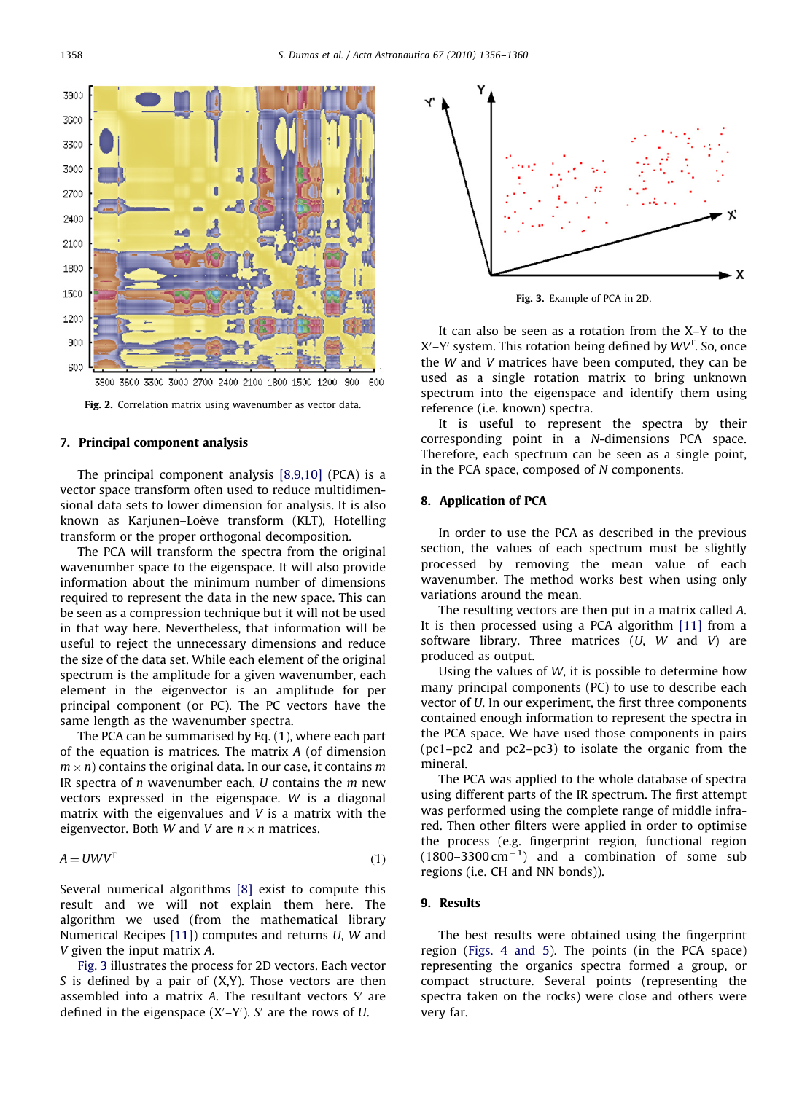<span id="page-2-0"></span>

Fig. 2. Correlation matrix using wavenumber as vector data.

#### 7. Principal component analysis

The principal component analysis [\[8,9,10\]](#page-4-0) (PCA) is a vector space transform often used to reduce multidimensional data sets to lower dimension for analysis. It is also known as Karjunen-Loève transform (KLT), Hotelling transform or the proper orthogonal decomposition.

The PCA will transform the spectra from the original wavenumber space to the eigenspace. It will also provide information about the minimum number of dimensions required to represent the data in the new space. This can be seen as a compression technique but it will not be used in that way here. Nevertheless, that information will be useful to reject the unnecessary dimensions and reduce the size of the data set. While each element of the original spectrum is the amplitude for a given wavenumber, each element in the eigenvector is an amplitude for per principal component (or PC). The PC vectors have the same length as the wavenumber spectra.

The PCA can be summarised by Eq. (1), where each part of the equation is matrices. The matrix A (of dimension  $m \times n$ ) contains the original data. In our case, it contains m IR spectra of  $n$  wavenumber each.  $U$  contains the  $m$  new vectors expressed in the eigenspace. W is a diagonal matrix with the eigenvalues and V is a matrix with the eigenvector. Both *W* and *V* are  $n \times n$  matrices.

$$
A = UWVT
$$
 (1)

Several numerical algorithms [\[8\]](#page-4-0) exist to compute this result and we will not explain them here. The algorithm we used (from the mathematical library Numerical Recipes [\[11\]](#page-4-0)) computes and returns U, W and V given the input matrix A.

Fig. 3 illustrates the process for 2D vectors. Each vector S is defined by a pair of  $(X,Y)$ . Those vectors are then assembled into a matrix  $A$ . The resultant vectors  $S'$  are defined in the eigenspace  $(X'-Y')$ . S' are the rows of U.



Fig. 3. Example of PCA in 2D.

It can also be seen as a rotation from the X–Y to the X'-Y' system. This rotation being defined by WV<sup>T</sup>. So, once the W and V matrices have been computed, they can be used as a single rotation matrix to bring unknown spectrum into the eigenspace and identify them using reference (i.e. known) spectra.

It is useful to represent the spectra by their corresponding point in a N-dimensions PCA space. Therefore, each spectrum can be seen as a single point, in the PCA space, composed of N components.

#### 8. Application of PCA

In order to use the PCA as described in the previous section, the values of each spectrum must be slightly processed by removing the mean value of each wavenumber. The method works best when using only variations around the mean.

The resulting vectors are then put in a matrix called A. It is then processed using a PCA algorithm [\[11\]](#page-4-0) from a software library. Three matrices  $(U, W)$  and  $V$ ) are produced as output.

Using the values of W, it is possible to determine how many principal components (PC) to use to describe each vector of U. In our experiment, the first three components contained enough information to represent the spectra in the PCA space. We have used those components in pairs (pc1–pc2 and pc2–pc3) to isolate the organic from the mineral.

The PCA was applied to the whole database of spectra using different parts of the IR spectrum. The first attempt was performed using the complete range of middle infrared. Then other filters were applied in order to optimise the process (e.g. fingerprint region, functional region  $(1800-3300 \text{ cm}^{-1})$  and a combination of some sub regions (i.e. CH and NN bonds)).

#### 9. Results

The best results were obtained using the fingerprint region [\(Figs. 4 and 5](#page-3-0)). The points (in the PCA space) representing the organics spectra formed a group, or compact structure. Several points (representing the spectra taken on the rocks) were close and others were very far.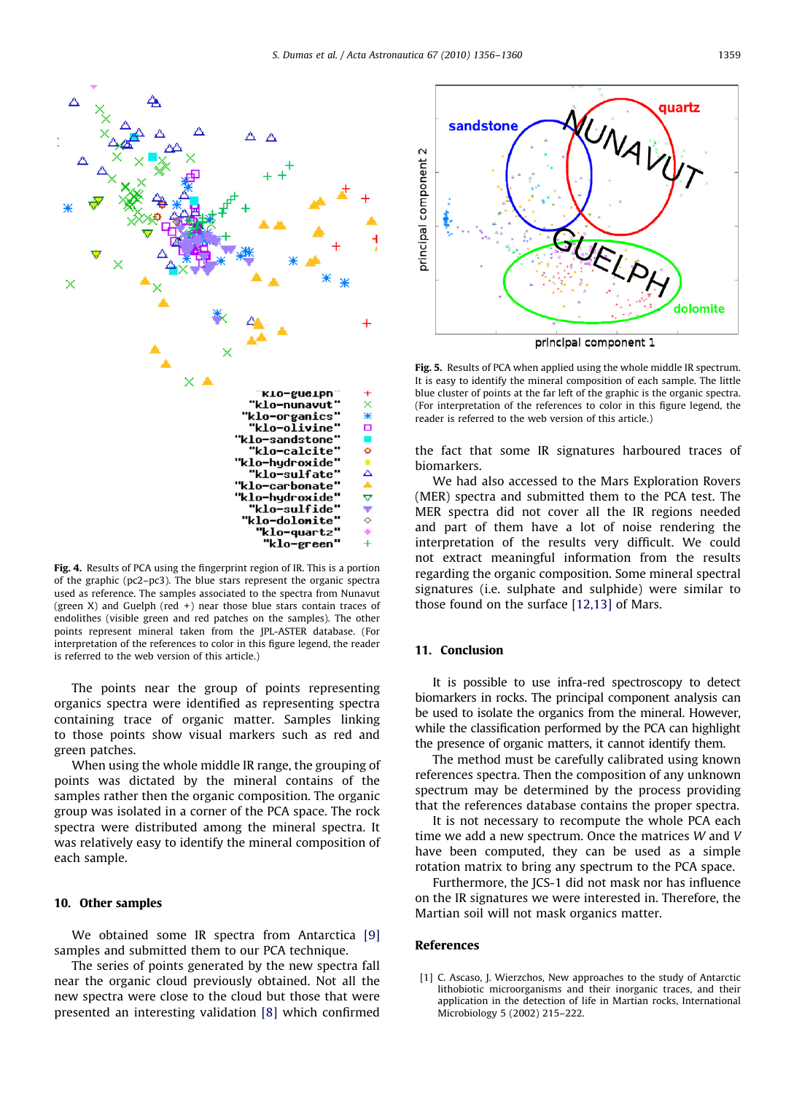<span id="page-3-0"></span>

Fig. 4. Results of PCA using the fingerprint region of IR. This is a portion of the graphic (pc2–pc3). The blue stars represent the organic spectra used as reference. The samples associated to the spectra from Nunavut (green X) and Guelph (red  $+$ ) near those blue stars contain traces of endolithes (visible green and red patches on the samples). The other points represent mineral taken from the JPL-ASTER database. (For interpretation of the references to color in this figure legend, the reader is referred to the web version of this article.)

The points near the group of points representing organics spectra were identified as representing spectra containing trace of organic matter. Samples linking to those points show visual markers such as red and green patches.

When using the whole middle IR range, the grouping of points was dictated by the mineral contains of the samples rather then the organic composition. The organic group was isolated in a corner of the PCA space. The rock spectra were distributed among the mineral spectra. It was relatively easy to identify the mineral composition of each sample.

#### 10. Other samples

We obtained some IR spectra from Antarctica [\[9\]](#page-4-0) samples and submitted them to our PCA technique.

The series of points generated by the new spectra fall near the organic cloud previously obtained. Not all the new spectra were close to the cloud but those that were presented an interesting validation [\[8\]](#page-4-0) which confirmed



Fig. 5. Results of PCA when applied using the whole middle IR spectrum. It is easy to identify the mineral composition of each sample. The little blue cluster of points at the far left of the graphic is the organic spectra. (For interpretation of the references to color in this figure legend, the reader is referred to the web version of this article.)

the fact that some IR signatures harboured traces of biomarkers.

We had also accessed to the Mars Exploration Rovers (MER) spectra and submitted them to the PCA test. The MER spectra did not cover all the IR regions needed and part of them have a lot of noise rendering the interpretation of the results very difficult. We could not extract meaningful information from the results regarding the organic composition. Some mineral spectral signatures (i.e. sulphate and sulphide) were similar to those found on the surface [\[12,13\]](#page-4-0) of Mars.

## 11. Conclusion

It is possible to use infra-red spectroscopy to detect biomarkers in rocks. The principal component analysis can be used to isolate the organics from the mineral. However, while the classification performed by the PCA can highlight the presence of organic matters, it cannot identify them.

The method must be carefully calibrated using known references spectra. Then the composition of any unknown spectrum may be determined by the process providing that the references database contains the proper spectra.

It is not necessary to recompute the whole PCA each time we add a new spectrum. Once the matrices W and V have been computed, they can be used as a simple rotation matrix to bring any spectrum to the PCA space.

Furthermore, the JCS-1 did not mask nor has influence on the IR signatures we were interested in. Therefore, the Martian soil will not mask organics matter.

#### References

[1] C. Ascaso, J. Wierzchos, New approaches to the study of Antarctic lithobiotic microorganisms and their inorganic traces, and their application in the detection of life in Martian rocks, International Microbiology 5 (2002) 215–222.